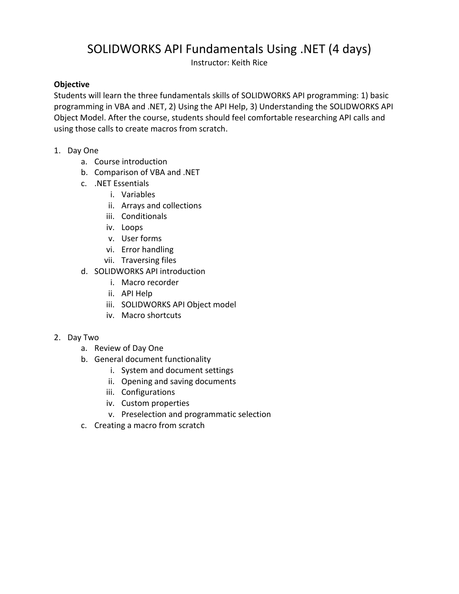## SOLIDWORKS API Fundamentals Using .NET (4 days)

Instructor: Keith Rice

## **Objective**

Students will learn the three fundamentals skills of SOLIDWORKS API programming: 1) basic programming in VBA and .NET, 2) Using the API Help, 3) Understanding the SOLIDWORKS API Object Model. After the course, students should feel comfortable researching API calls and using those calls to create macros from scratch.

- 1. Day One
	- a. Course introduction
	- b. Comparison of VBA and .NET
	- c. .NET Essentials
		- i. Variables
		- ii. Arrays and collections
		- iii. Conditionals
		- iv. Loops
		- v. User forms
		- vi. Error handling
		- vii. Traversing files
	- d. SOLIDWORKS API introduction
		- i. Macro recorder
		- ii. API Help
		- iii. SOLIDWORKS API Object model
		- iv. Macro shortcuts

## 2. Day Two

- a. Review of Day One
- b. General document functionality
	- i. System and document settings
	- ii. Opening and saving documents
	- iii. Configurations
	- iv. Custom properties
	- v. Preselection and programmatic selection
- c. Creating a macro from scratch